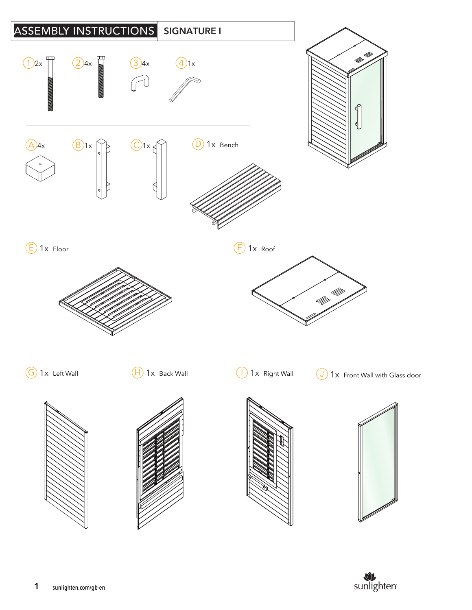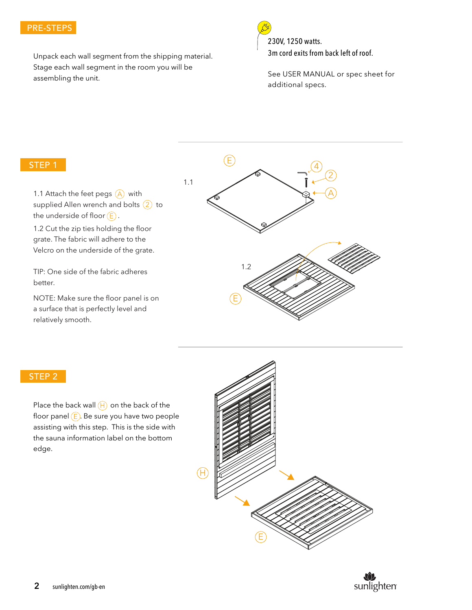### PRE-STEPS

Unpack each wall segment from the shipping material. Stage each wall segment in the room you will be assembling the unit.



230V, 1250 watts. 3m cord exits from back left of roof.

See USER MANUAL or spec sheet for additional specs.

#### STEP 1

1.1 Attach the feet pegs  $(A)$  with supplied Allen wrench and bolts  $(2)$  to the underside of floor  $(\mathsf{E})$  .

1.2 Cut the zip ties holding the floor grate. The fabric will adhere to the Velcro on the underside of the grate.

TIP: One side of the fabric adheres better.

NOTE: Make sure the floor panel is on a surface that is perfectly level and relatively smooth.



#### STEP 2

Place the back wall  $(H)$  on the back of the floor panel (E). Be sure you have two people assisting with this step. This is the side with the sauna information label on the bottom edge.



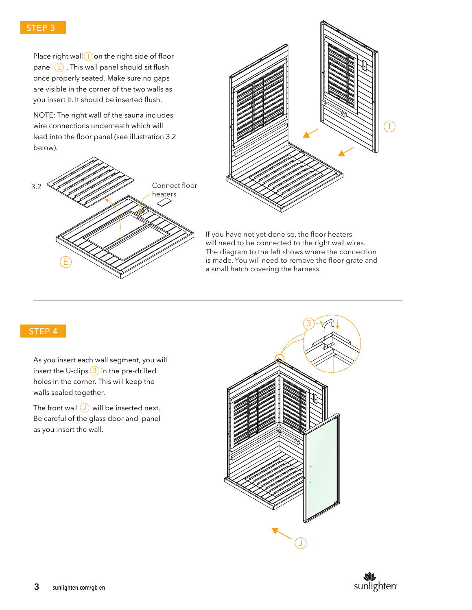# STEP 3

Place right wall  $\left( \begin{array}{c} I \end{array} \right)$  on the right side of floor panel  $(E)$  . This wall panel should sit flush once properly seated. Make sure no gaps are visible in the corner of the two walls as you insert it. It should be inserted flush.

NOTE: The right wall of the sauna includes wire connections underneath which will lead into the floor panel (see illustration 3.2 below).





If you have not yet done so, the floor heaters will need to be connected to the right wall wires. The diagram to the left shows where the connection is made. You will need to remove the floor grate and a small hatch covering the harness.

# STEP 4

As you insert each wall segment, you will insert the U-clips  $(3)$  in the pre-drilled holes in the corner. This will keep the walls sealed together.

The front wall  $\left(\bigcup\right)$  will be inserted next. Be careful of the glass door and panel as you insert the wall.



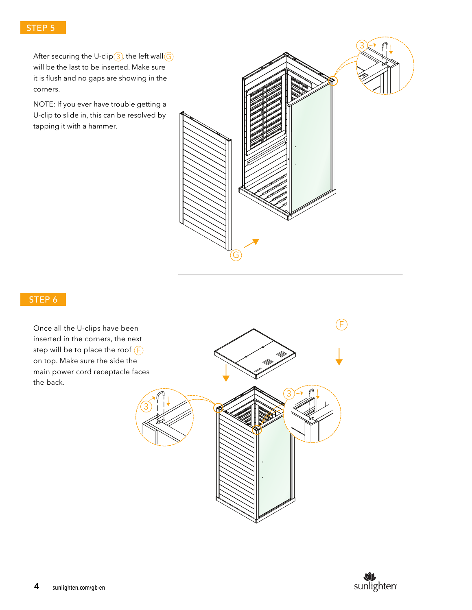After securing the U-clip $(3)$ , the left wall $(\mathsf{G})$ will be the last to be inserted. Make sure it is flush and no gaps are showing in the corners.

NOTE: If you ever have trouble getting a U-clip to slide in, this can be resolved by tapping it with a hammer.



## STEP 6

Once all the U-clips have been inserted in the corners, the next step will be to place the roof F on top. Make sure the side the main power cord receptacle faces the back.



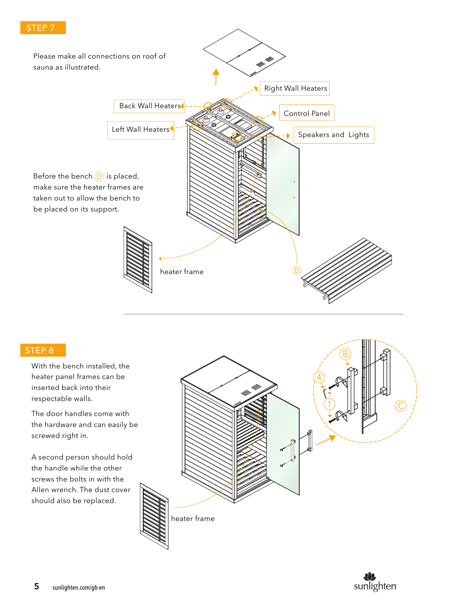

## STEP 8

With the bench installed, the heater panel frames can be inserted back into their respectable walls.

The door handles come with the hardware and can easily be screwed right in.

A second person should hold the handle while the other screws the bolts in with the Allen wrench. The dust cover should also be replaced.